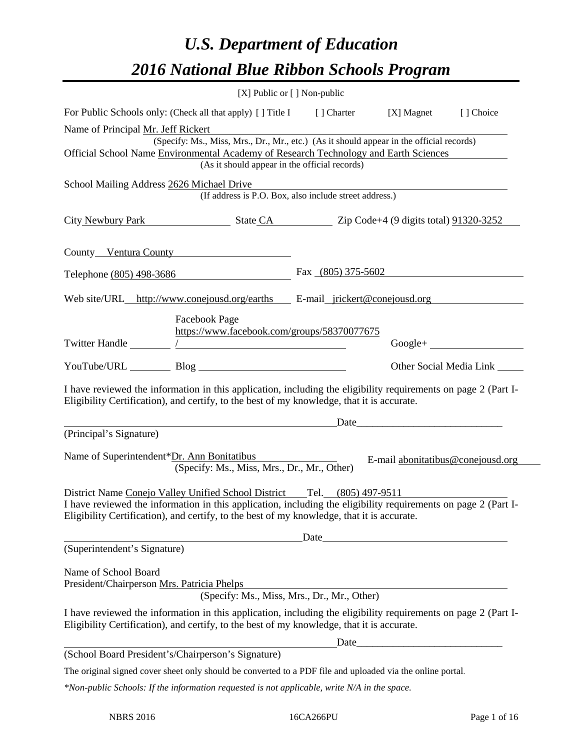# *U.S. Department of Education 2016 National Blue Ribbon Schools Program*

| [X] Public or [] Non-public                                                                                                                                                                                                                                                             |                                   |               |
|-----------------------------------------------------------------------------------------------------------------------------------------------------------------------------------------------------------------------------------------------------------------------------------------|-----------------------------------|---------------|
| For Public Schools only: (Check all that apply) [] Title I [] Charter                                                                                                                                                                                                                   | [X] Magnet                        | [] Choice     |
| Name of Principal Mr. Jeff Rickert<br>(Specify: Ms., Miss, Mrs., Dr., Mr., etc.) (As it should appear in the official records)<br>Official School Name Environmental Academy of Research Technology and Earth Sciences<br>(As it should appear in the official records)                 |                                   |               |
| School Mailing Address 2626 Michael Drive<br>(If address is P.O. Box, also include street address.)                                                                                                                                                                                     |                                   |               |
| City Newbury Park State CA Zip Code+4 (9 digits total) 91320-3252                                                                                                                                                                                                                       |                                   |               |
| County Ventura County                                                                                                                                                                                                                                                                   |                                   |               |
| Telephone (805) 498-3686                                                                                                                                                                                                                                                                | Fax $(805)$ 375-5602              |               |
| Web site/URL_http://www.conejousd.org/earths E-mail_jrickert@conejousd.org<br>Facebook Page                                                                                                                                                                                             |                                   |               |
| https://www.facebook.com/groups/58370077675                                                                                                                                                                                                                                             |                                   | $Google + \_$ |
|                                                                                                                                                                                                                                                                                         |                                   |               |
| I have reviewed the information in this application, including the eligibility requirements on page 2 (Part I-<br>Eligibility Certification), and certify, to the best of my knowledge, that it is accurate.                                                                            |                                   |               |
| <u>Date</u> <b>Date</b> <u>Date</u> <b>Contract 2</b><br>(Principal's Signature)                                                                                                                                                                                                        |                                   |               |
| Name of Superintendent*Dr. Ann Bonitatibus<br>(Specify: Ms., Miss, Mrs., Dr., Mr., Other)                                                                                                                                                                                               | E-mail abonitatibus@conejousd.org |               |
| District Name Conejo Valley Unified School District Tel. (805) 497-9511<br>I have reviewed the information in this application, including the eligibility requirements on page 2 (Part I-<br>Eligibility Certification), and certify, to the best of my knowledge, that it is accurate. |                                   |               |
|                                                                                                                                                                                                                                                                                         | Date                              |               |
| (Superintendent's Signature)                                                                                                                                                                                                                                                            |                                   |               |
| Name of School Board<br>President/Chairperson Mrs. Patricia Phelps<br>(Specify: Ms., Miss, Mrs., Dr., Mr., Other)                                                                                                                                                                       |                                   |               |
| I have reviewed the information in this application, including the eligibility requirements on page 2 (Part I-<br>Eligibility Certification), and certify, to the best of my knowledge, that it is accurate.                                                                            |                                   |               |
|                                                                                                                                                                                                                                                                                         | Date <u>Date</u>                  |               |
| (School Board President's/Chairperson's Signature)<br>The original signed cover sheet only should be converted to a PDF file and uploaded via the online portal.                                                                                                                        |                                   |               |
| $*$ Non-public Schools: If the information requested is not applicable, write $N/A$ in the space.                                                                                                                                                                                       |                                   |               |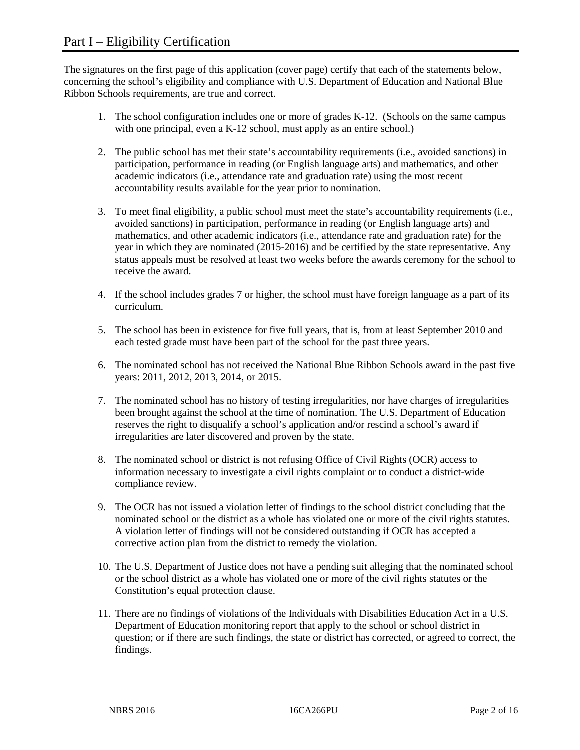The signatures on the first page of this application (cover page) certify that each of the statements below, concerning the school's eligibility and compliance with U.S. Department of Education and National Blue Ribbon Schools requirements, are true and correct.

- 1. The school configuration includes one or more of grades K-12. (Schools on the same campus with one principal, even a K-12 school, must apply as an entire school.)
- 2. The public school has met their state's accountability requirements (i.e., avoided sanctions) in participation, performance in reading (or English language arts) and mathematics, and other academic indicators (i.e., attendance rate and graduation rate) using the most recent accountability results available for the year prior to nomination.
- 3. To meet final eligibility, a public school must meet the state's accountability requirements (i.e., avoided sanctions) in participation, performance in reading (or English language arts) and mathematics, and other academic indicators (i.e., attendance rate and graduation rate) for the year in which they are nominated (2015-2016) and be certified by the state representative. Any status appeals must be resolved at least two weeks before the awards ceremony for the school to receive the award.
- 4. If the school includes grades 7 or higher, the school must have foreign language as a part of its curriculum.
- 5. The school has been in existence for five full years, that is, from at least September 2010 and each tested grade must have been part of the school for the past three years.
- 6. The nominated school has not received the National Blue Ribbon Schools award in the past five years: 2011, 2012, 2013, 2014, or 2015.
- 7. The nominated school has no history of testing irregularities, nor have charges of irregularities been brought against the school at the time of nomination. The U.S. Department of Education reserves the right to disqualify a school's application and/or rescind a school's award if irregularities are later discovered and proven by the state.
- 8. The nominated school or district is not refusing Office of Civil Rights (OCR) access to information necessary to investigate a civil rights complaint or to conduct a district-wide compliance review.
- 9. The OCR has not issued a violation letter of findings to the school district concluding that the nominated school or the district as a whole has violated one or more of the civil rights statutes. A violation letter of findings will not be considered outstanding if OCR has accepted a corrective action plan from the district to remedy the violation.
- 10. The U.S. Department of Justice does not have a pending suit alleging that the nominated school or the school district as a whole has violated one or more of the civil rights statutes or the Constitution's equal protection clause.
- 11. There are no findings of violations of the Individuals with Disabilities Education Act in a U.S. Department of Education monitoring report that apply to the school or school district in question; or if there are such findings, the state or district has corrected, or agreed to correct, the findings.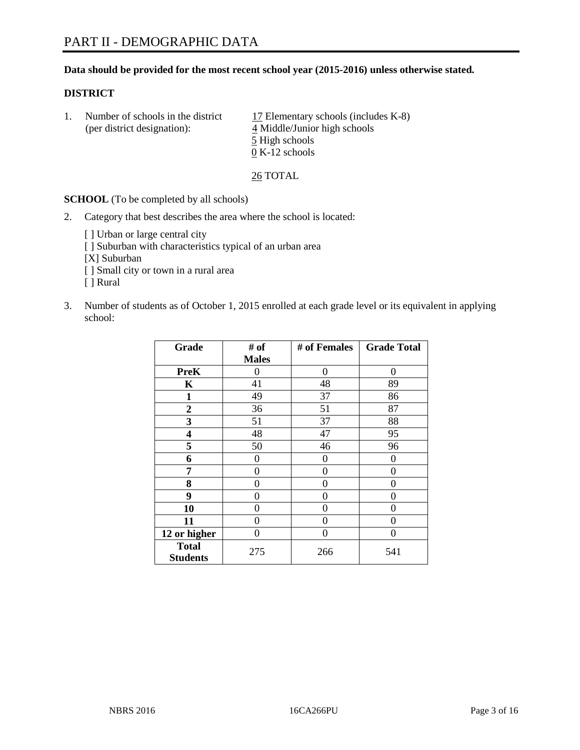# **Data should be provided for the most recent school year (2015-2016) unless otherwise stated.**

# **DISTRICT**

1. Number of schools in the district  $17$  Elementary schools (includes K-8) (per district designation): 4 Middle/Junior high schools 5 High schools 0 K-12 schools

26 TOTAL

**SCHOOL** (To be completed by all schools)

- 2. Category that best describes the area where the school is located:
	- [] Urban or large central city [ ] Suburban with characteristics typical of an urban area [X] Suburban [ ] Small city or town in a rural area [ ] Rural
- 3. Number of students as of October 1, 2015 enrolled at each grade level or its equivalent in applying school:

| Grade                           | # of         | # of Females | <b>Grade Total</b> |
|---------------------------------|--------------|--------------|--------------------|
|                                 | <b>Males</b> |              |                    |
| <b>PreK</b>                     | 0            | 0            | 0                  |
| K                               | 41           | 48           | 89                 |
| 1                               | 49           | 37           | 86                 |
| $\overline{2}$                  | 36           | 51           | 87                 |
| 3                               | 51           | 37           | 88                 |
| 4                               | 48           | 47           | 95                 |
| 5                               | 50           | 46           | 96                 |
| 6                               | 0            | 0            | $\theta$           |
| 7                               | 0            | 0            | 0                  |
| 8                               | 0            | 0            | 0                  |
| 9                               | 0            | 0            | 0                  |
| 10                              | 0            | 0            | $\theta$           |
| 11                              | 0            | 0            | 0                  |
| 12 or higher                    | 0            | 0            | $\theta$           |
| <b>Total</b><br><b>Students</b> | 275          | 266          | 541                |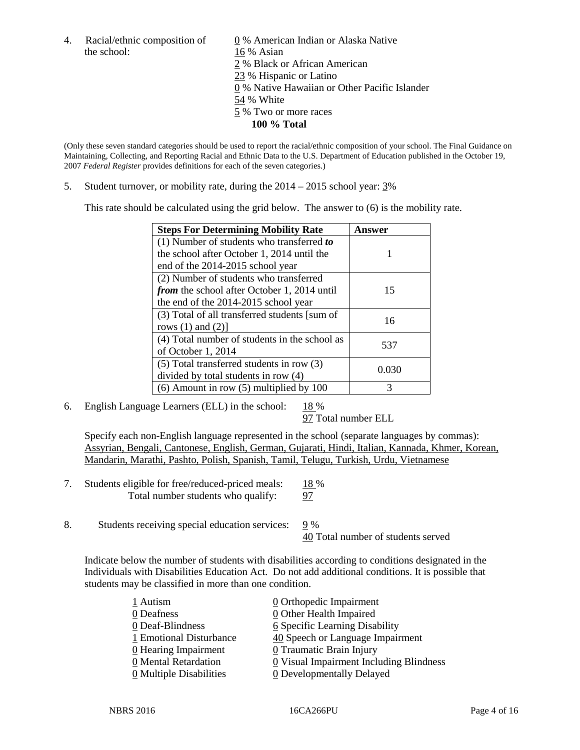the school: 16 % Asian

4. Racial/ethnic composition of  $\underline{0}$  % American Indian or Alaska Native 2 % Black or African American 23 % Hispanic or Latino 0 % Native Hawaiian or Other Pacific Islander 54 % White 5 % Two or more races **100 % Total**

(Only these seven standard categories should be used to report the racial/ethnic composition of your school. The Final Guidance on Maintaining, Collecting, and Reporting Racial and Ethnic Data to the U.S. Department of Education published in the October 19, 2007 *Federal Register* provides definitions for each of the seven categories.)

5. Student turnover, or mobility rate, during the  $2014 - 2015$  school year:  $3\%$ 

This rate should be calculated using the grid below. The answer to (6) is the mobility rate.

| <b>Steps For Determining Mobility Rate</b>         | Answer |  |
|----------------------------------------------------|--------|--|
| (1) Number of students who transferred to          |        |  |
| the school after October 1, 2014 until the         |        |  |
| end of the 2014-2015 school year                   |        |  |
| (2) Number of students who transferred             |        |  |
| <i>from</i> the school after October 1, 2014 until | 15     |  |
| the end of the 2014-2015 school year               |        |  |
| (3) Total of all transferred students [sum of      | 16     |  |
| rows $(1)$ and $(2)$ ]                             |        |  |
| (4) Total number of students in the school as      | 537    |  |
| of October 1, 2014                                 |        |  |
| $(5)$ Total transferred students in row $(3)$      | 0.030  |  |
| divided by total students in row (4)               |        |  |
| $(6)$ Amount in row $(5)$ multiplied by 100        | 3      |  |

6. English Language Learners (ELL) in the school:  $18\%$ 

97 Total number ELL

Specify each non-English language represented in the school (separate languages by commas): Assyrian, Bengali, Cantonese, English, German, Gujarati, Hindi, Italian, Kannada, Khmer, Korean, Mandarin, Marathi, Pashto, Polish, Spanish, Tamil, Telugu, Turkish, Urdu, Vietnamese

- 7. Students eligible for free/reduced-priced meals: 18 % Total number students who qualify: 97
- 8. Students receiving special education services: 9 % 40 Total number of students served

Indicate below the number of students with disabilities according to conditions designated in the Individuals with Disabilities Education Act. Do not add additional conditions. It is possible that students may be classified in more than one condition.

| 1 Autism                              | 0 Orthopedic Impairment                   |
|---------------------------------------|-------------------------------------------|
| 0 Deafness                            | 0 Other Health Impaired                   |
| 0 Deaf-Blindness                      | <b>6</b> Specific Learning Disability     |
| 1 Emotional Disturbance               | 40 Speech or Language Impairment          |
| 0 Hearing Impairment                  | 0 Traumatic Brain Injury                  |
| 0 Mental Retardation                  | $Q$ Visual Impairment Including Blindness |
| $\underline{0}$ Multiple Disabilities | <b>0</b> Developmentally Delayed          |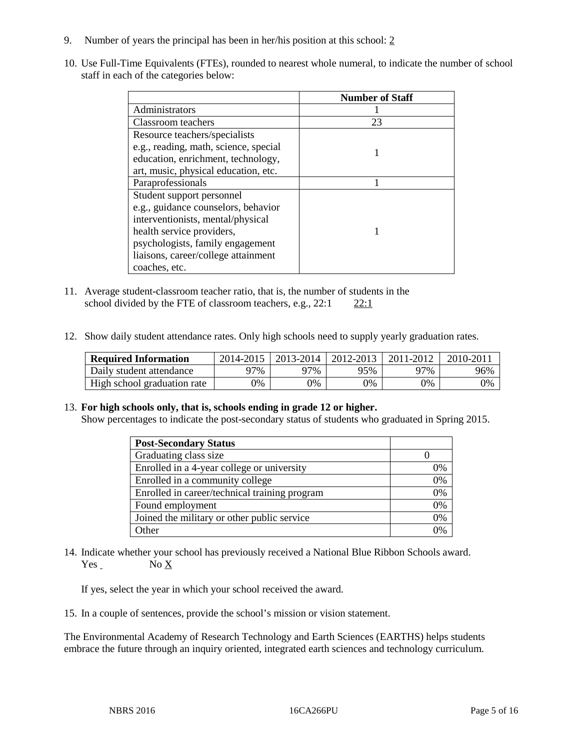- 9. Number of years the principal has been in her/his position at this school: 2
- 10. Use Full-Time Equivalents (FTEs), rounded to nearest whole numeral, to indicate the number of school staff in each of the categories below:

|                                       | <b>Number of Staff</b> |
|---------------------------------------|------------------------|
| Administrators                        |                        |
| Classroom teachers                    | 23                     |
| Resource teachers/specialists         |                        |
| e.g., reading, math, science, special |                        |
| education, enrichment, technology,    |                        |
| art, music, physical education, etc.  |                        |
| Paraprofessionals                     |                        |
| Student support personnel             |                        |
| e.g., guidance counselors, behavior   |                        |
| interventionists, mental/physical     |                        |
| health service providers,             |                        |
| psychologists, family engagement      |                        |
| liaisons, career/college attainment   |                        |
| coaches, etc.                         |                        |

- 11. Average student-classroom teacher ratio, that is, the number of students in the school divided by the FTE of classroom teachers, e.g.,  $22:1$   $22:1$
- 12. Show daily student attendance rates. Only high schools need to supply yearly graduation rates.

| <b>Required Information</b> | 2014-2015 |     | 2013-2014   2012-2013 | 2011-2012 | 2010-2011 |
|-----------------------------|-----------|-----|-----------------------|-----------|-----------|
| Daily student attendance    | 97%       | 97% | 95%                   | ว7%       | 96%       |
| High school graduation rate | 9%        | 0%  | 0%                    | 9%        | 0%        |

#### 13. **For high schools only, that is, schools ending in grade 12 or higher.**

Show percentages to indicate the post-secondary status of students who graduated in Spring 2015.

| <b>Post-Secondary Status</b>                  |    |
|-----------------------------------------------|----|
| Graduating class size                         |    |
| Enrolled in a 4-year college or university    | 0% |
| Enrolled in a community college               | 0% |
| Enrolled in career/technical training program | 0% |
| Found employment                              | 0% |
| Joined the military or other public service   | 0% |
| Other                                         |    |

14. Indicate whether your school has previously received a National Blue Ribbon Schools award. Yes No X

If yes, select the year in which your school received the award.

15. In a couple of sentences, provide the school's mission or vision statement.

The Environmental Academy of Research Technology and Earth Sciences (EARTHS) helps students embrace the future through an inquiry oriented, integrated earth sciences and technology curriculum.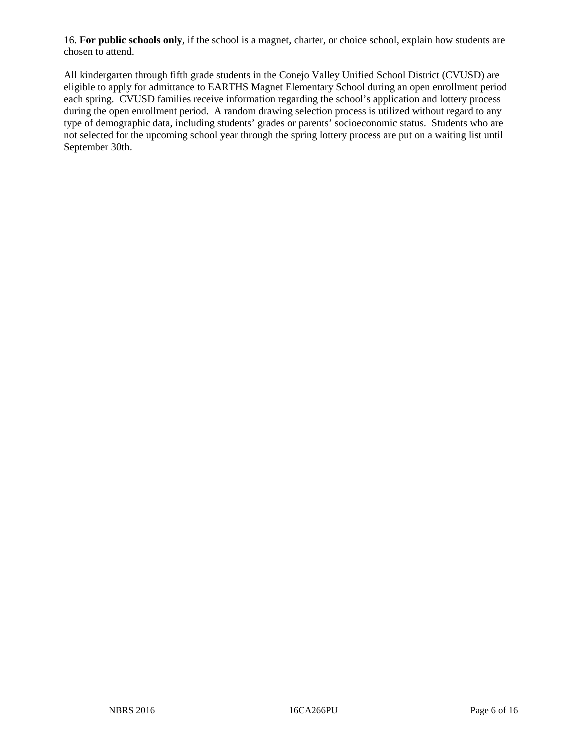16. **For public schools only**, if the school is a magnet, charter, or choice school, explain how students are chosen to attend.

All kindergarten through fifth grade students in the Conejo Valley Unified School District (CVUSD) are eligible to apply for admittance to EARTHS Magnet Elementary School during an open enrollment period each spring. CVUSD families receive information regarding the school's application and lottery process during the open enrollment period. A random drawing selection process is utilized without regard to any type of demographic data, including students' grades or parents' socioeconomic status. Students who are not selected for the upcoming school year through the spring lottery process are put on a waiting list until September 30th.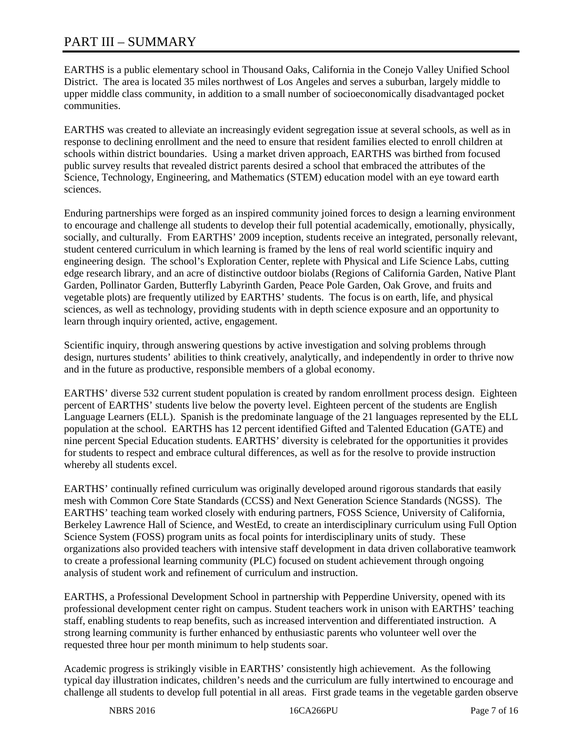# PART III – SUMMARY

EARTHS is a public elementary school in Thousand Oaks, California in the Conejo Valley Unified School District. The area is located 35 miles northwest of Los Angeles and serves a suburban, largely middle to upper middle class community, in addition to a small number of socioeconomically disadvantaged pocket communities.

EARTHS was created to alleviate an increasingly evident segregation issue at several schools, as well as in response to declining enrollment and the need to ensure that resident families elected to enroll children at schools within district boundaries. Using a market driven approach, EARTHS was birthed from focused public survey results that revealed district parents desired a school that embraced the attributes of the Science, Technology, Engineering, and Mathematics (STEM) education model with an eye toward earth sciences.

Enduring partnerships were forged as an inspired community joined forces to design a learning environment to encourage and challenge all students to develop their full potential academically, emotionally, physically, socially, and culturally. From EARTHS' 2009 inception, students receive an integrated, personally relevant, student centered curriculum in which learning is framed by the lens of real world scientific inquiry and engineering design. The school's Exploration Center, replete with Physical and Life Science Labs, cutting edge research library, and an acre of distinctive outdoor biolabs (Regions of California Garden, Native Plant Garden, Pollinator Garden, Butterfly Labyrinth Garden, Peace Pole Garden, Oak Grove, and fruits and vegetable plots) are frequently utilized by EARTHS' students. The focus is on earth, life, and physical sciences, as well as technology, providing students with in depth science exposure and an opportunity to learn through inquiry oriented, active, engagement.

Scientific inquiry, through answering questions by active investigation and solving problems through design, nurtures students' abilities to think creatively, analytically, and independently in order to thrive now and in the future as productive, responsible members of a global economy.

EARTHS' diverse 532 current student population is created by random enrollment process design. Eighteen percent of EARTHS' students live below the poverty level. Eighteen percent of the students are English Language Learners (ELL). Spanish is the predominate language of the 21 languages represented by the ELL population at the school. EARTHS has 12 percent identified Gifted and Talented Education (GATE) and nine percent Special Education students. EARTHS' diversity is celebrated for the opportunities it provides for students to respect and embrace cultural differences, as well as for the resolve to provide instruction whereby all students excel.

EARTHS' continually refined curriculum was originally developed around rigorous standards that easily mesh with Common Core State Standards (CCSS) and Next Generation Science Standards (NGSS). The EARTHS' teaching team worked closely with enduring partners, FOSS Science, University of California, Berkeley Lawrence Hall of Science, and WestEd, to create an interdisciplinary curriculum using Full Option Science System (FOSS) program units as focal points for interdisciplinary units of study. These organizations also provided teachers with intensive staff development in data driven collaborative teamwork to create a professional learning community (PLC) focused on student achievement through ongoing analysis of student work and refinement of curriculum and instruction.

EARTHS, a Professional Development School in partnership with Pepperdine University, opened with its professional development center right on campus. Student teachers work in unison with EARTHS' teaching staff, enabling students to reap benefits, such as increased intervention and differentiated instruction. A strong learning community is further enhanced by enthusiastic parents who volunteer well over the requested three hour per month minimum to help students soar.

Academic progress is strikingly visible in EARTHS' consistently high achievement. As the following typical day illustration indicates, children's needs and the curriculum are fully intertwined to encourage and challenge all students to develop full potential in all areas. First grade teams in the vegetable garden observe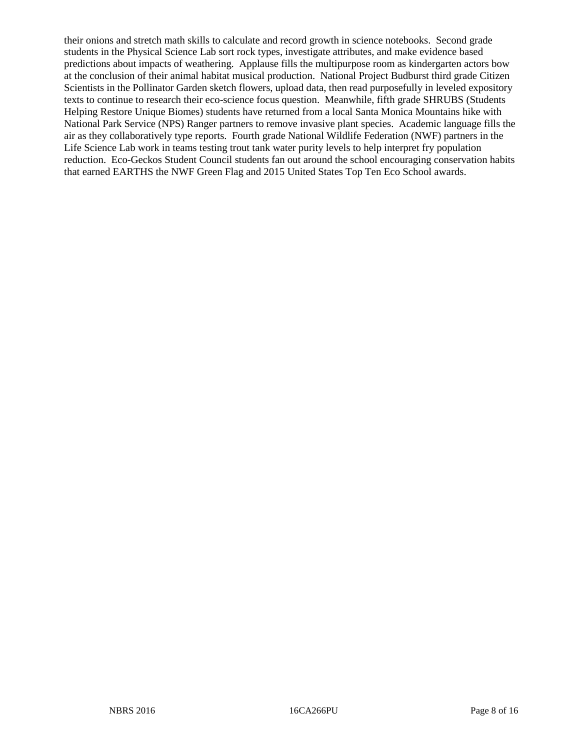their onions and stretch math skills to calculate and record growth in science notebooks. Second grade students in the Physical Science Lab sort rock types, investigate attributes, and make evidence based predictions about impacts of weathering. Applause fills the multipurpose room as kindergarten actors bow at the conclusion of their animal habitat musical production. National Project Budburst third grade Citizen Scientists in the Pollinator Garden sketch flowers, upload data, then read purposefully in leveled expository texts to continue to research their eco-science focus question. Meanwhile, fifth grade SHRUBS (Students Helping Restore Unique Biomes) students have returned from a local Santa Monica Mountains hike with National Park Service (NPS) Ranger partners to remove invasive plant species. Academic language fills the air as they collaboratively type reports. Fourth grade National Wildlife Federation (NWF) partners in the Life Science Lab work in teams testing trout tank water purity levels to help interpret fry population reduction. Eco-Geckos Student Council students fan out around the school encouraging conservation habits that earned EARTHS the NWF Green Flag and 2015 United States Top Ten Eco School awards.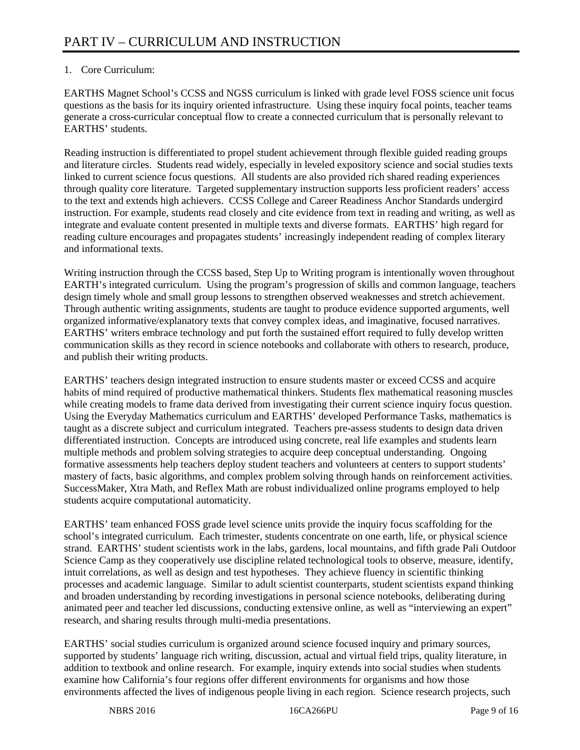# 1. Core Curriculum:

EARTHS Magnet School's CCSS and NGSS curriculum is linked with grade level FOSS science unit focus questions as the basis for its inquiry oriented infrastructure. Using these inquiry focal points, teacher teams generate a cross-curricular conceptual flow to create a connected curriculum that is personally relevant to EARTHS' students.

Reading instruction is differentiated to propel student achievement through flexible guided reading groups and literature circles. Students read widely, especially in leveled expository science and social studies texts linked to current science focus questions. All students are also provided rich shared reading experiences through quality core literature. Targeted supplementary instruction supports less proficient readers' access to the text and extends high achievers. CCSS College and Career Readiness Anchor Standards undergird instruction. For example, students read closely and cite evidence from text in reading and writing, as well as integrate and evaluate content presented in multiple texts and diverse formats. EARTHS' high regard for reading culture encourages and propagates students' increasingly independent reading of complex literary and informational texts.

Writing instruction through the CCSS based, Step Up to Writing program is intentionally woven throughout EARTH's integrated curriculum. Using the program's progression of skills and common language, teachers design timely whole and small group lessons to strengthen observed weaknesses and stretch achievement. Through authentic writing assignments, students are taught to produce evidence supported arguments, well organized informative/explanatory texts that convey complex ideas, and imaginative, focused narratives. EARTHS' writers embrace technology and put forth the sustained effort required to fully develop written communication skills as they record in science notebooks and collaborate with others to research, produce, and publish their writing products.

EARTHS' teachers design integrated instruction to ensure students master or exceed CCSS and acquire habits of mind required of productive mathematical thinkers. Students flex mathematical reasoning muscles while creating models to frame data derived from investigating their current science inquiry focus question. Using the Everyday Mathematics curriculum and EARTHS' developed Performance Tasks, mathematics is taught as a discrete subject and curriculum integrated. Teachers pre-assess students to design data driven differentiated instruction. Concepts are introduced using concrete, real life examples and students learn multiple methods and problem solving strategies to acquire deep conceptual understanding. Ongoing formative assessments help teachers deploy student teachers and volunteers at centers to support students' mastery of facts, basic algorithms, and complex problem solving through hands on reinforcement activities. SuccessMaker, Xtra Math, and Reflex Math are robust individualized online programs employed to help students acquire computational automaticity.

EARTHS' team enhanced FOSS grade level science units provide the inquiry focus scaffolding for the school's integrated curriculum. Each trimester, students concentrate on one earth, life, or physical science strand. EARTHS' student scientists work in the labs, gardens, local mountains, and fifth grade Pali Outdoor Science Camp as they cooperatively use discipline related technological tools to observe, measure, identify, intuit correlations, as well as design and test hypotheses. They achieve fluency in scientific thinking processes and academic language. Similar to adult scientist counterparts, student scientists expand thinking and broaden understanding by recording investigations in personal science notebooks, deliberating during animated peer and teacher led discussions, conducting extensive online, as well as "interviewing an expert" research, and sharing results through multi-media presentations.

EARTHS' social studies curriculum is organized around science focused inquiry and primary sources, supported by students' language rich writing, discussion, actual and virtual field trips, quality literature, in addition to textbook and online research. For example, inquiry extends into social studies when students examine how California's four regions offer different environments for organisms and how those environments affected the lives of indigenous people living in each region. Science research projects, such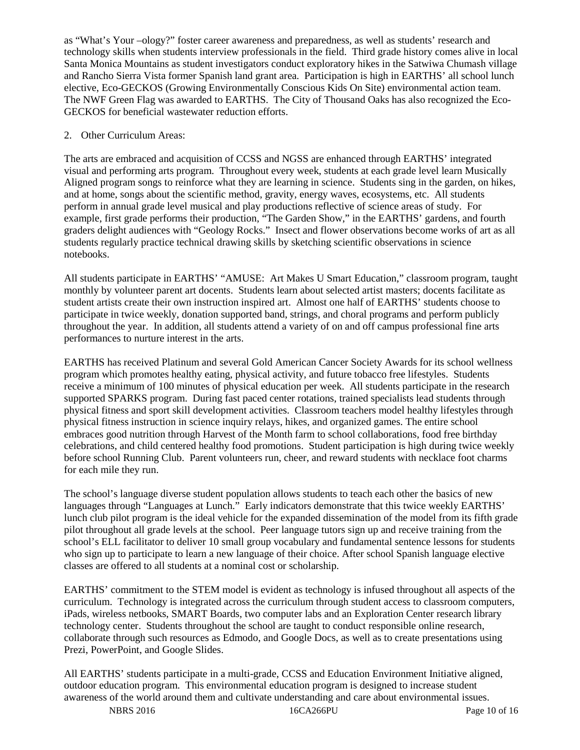as "What's Your –ology?" foster career awareness and preparedness, as well as students' research and technology skills when students interview professionals in the field. Third grade history comes alive in local Santa Monica Mountains as student investigators conduct exploratory hikes in the Satwiwa Chumash village and Rancho Sierra Vista former Spanish land grant area. Participation is high in EARTHS' all school lunch elective, Eco-GECKOS (Growing Environmentally Conscious Kids On Site) environmental action team. The NWF Green Flag was awarded to EARTHS. The City of Thousand Oaks has also recognized the Eco-GECKOS for beneficial wastewater reduction efforts.

# 2. Other Curriculum Areas:

The arts are embraced and acquisition of CCSS and NGSS are enhanced through EARTHS' integrated visual and performing arts program. Throughout every week, students at each grade level learn Musically Aligned program songs to reinforce what they are learning in science. Students sing in the garden, on hikes, and at home, songs about the scientific method, gravity, energy waves, ecosystems, etc. All students perform in annual grade level musical and play productions reflective of science areas of study. For example, first grade performs their production, "The Garden Show," in the EARTHS' gardens, and fourth graders delight audiences with "Geology Rocks." Insect and flower observations become works of art as all students regularly practice technical drawing skills by sketching scientific observations in science notebooks.

All students participate in EARTHS' "AMUSE: Art Makes U Smart Education," classroom program, taught monthly by volunteer parent art docents. Students learn about selected artist masters; docents facilitate as student artists create their own instruction inspired art. Almost one half of EARTHS' students choose to participate in twice weekly, donation supported band, strings, and choral programs and perform publicly throughout the year. In addition, all students attend a variety of on and off campus professional fine arts performances to nurture interest in the arts.

EARTHS has received Platinum and several Gold American Cancer Society Awards for its school wellness program which promotes healthy eating, physical activity, and future tobacco free lifestyles. Students receive a minimum of 100 minutes of physical education per week. All students participate in the research supported SPARKS program. During fast paced center rotations, trained specialists lead students through physical fitness and sport skill development activities. Classroom teachers model healthy lifestyles through physical fitness instruction in science inquiry relays, hikes, and organized games. The entire school embraces good nutrition through Harvest of the Month farm to school collaborations, food free birthday celebrations, and child centered healthy food promotions. Student participation is high during twice weekly before school Running Club. Parent volunteers run, cheer, and reward students with necklace foot charms for each mile they run.

The school's language diverse student population allows students to teach each other the basics of new languages through "Languages at Lunch." Early indicators demonstrate that this twice weekly EARTHS' lunch club pilot program is the ideal vehicle for the expanded dissemination of the model from its fifth grade pilot throughout all grade levels at the school. Peer language tutors sign up and receive training from the school's ELL facilitator to deliver 10 small group vocabulary and fundamental sentence lessons for students who sign up to participate to learn a new language of their choice. After school Spanish language elective classes are offered to all students at a nominal cost or scholarship.

EARTHS' commitment to the STEM model is evident as technology is infused throughout all aspects of the curriculum. Technology is integrated across the curriculum through student access to classroom computers, iPads, wireless netbooks, SMART Boards, two computer labs and an Exploration Center research library technology center. Students throughout the school are taught to conduct responsible online research, collaborate through such resources as Edmodo, and Google Docs, as well as to create presentations using Prezi, PowerPoint, and Google Slides.

All EARTHS' students participate in a multi-grade, CCSS and Education Environment Initiative aligned, outdoor education program. This environmental education program is designed to increase student awareness of the world around them and cultivate understanding and care about environmental issues.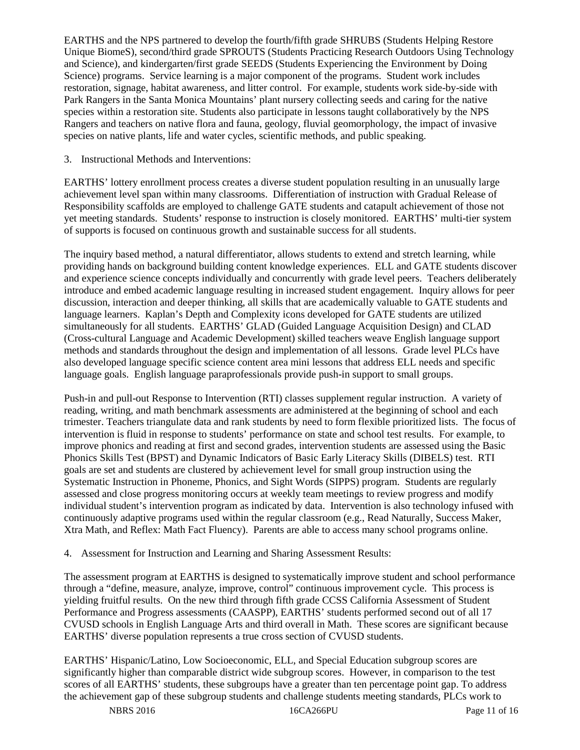EARTHS and the NPS partnered to develop the fourth/fifth grade SHRUBS (Students Helping Restore Unique BiomeS), second/third grade SPROUTS (Students Practicing Research Outdoors Using Technology and Science), and kindergarten/first grade SEEDS (Students Experiencing the Environment by Doing Science) programs. Service learning is a major component of the programs. Student work includes restoration, signage, habitat awareness, and litter control. For example, students work side-by-side with Park Rangers in the Santa Monica Mountains' plant nursery collecting seeds and caring for the native species within a restoration site. Students also participate in lessons taught collaboratively by the NPS Rangers and teachers on native flora and fauna, geology, fluvial geomorphology, the impact of invasive species on native plants, life and water cycles, scientific methods, and public speaking.

3. Instructional Methods and Interventions:

EARTHS' lottery enrollment process creates a diverse student population resulting in an unusually large achievement level span within many classrooms. Differentiation of instruction with Gradual Release of Responsibility scaffolds are employed to challenge GATE students and catapult achievement of those not yet meeting standards. Students' response to instruction is closely monitored. EARTHS' multi-tier system of supports is focused on continuous growth and sustainable success for all students.

The inquiry based method, a natural differentiator, allows students to extend and stretch learning, while providing hands on background building content knowledge experiences. ELL and GATE students discover and experience science concepts individually and concurrently with grade level peers. Teachers deliberately introduce and embed academic language resulting in increased student engagement. Inquiry allows for peer discussion, interaction and deeper thinking, all skills that are academically valuable to GATE students and language learners. Kaplan's Depth and Complexity icons developed for GATE students are utilized simultaneously for all students. EARTHS' GLAD (Guided Language Acquisition Design) and CLAD (Cross-cultural Language and Academic Development) skilled teachers weave English language support methods and standards throughout the design and implementation of all lessons. Grade level PLCs have also developed language specific science content area mini lessons that address ELL needs and specific language goals. English language paraprofessionals provide push-in support to small groups.

Push-in and pull-out Response to Intervention (RTI) classes supplement regular instruction. A variety of reading, writing, and math benchmark assessments are administered at the beginning of school and each trimester. Teachers triangulate data and rank students by need to form flexible prioritized lists. The focus of intervention is fluid in response to students' performance on state and school test results. For example, to improve phonics and reading at first and second grades, intervention students are assessed using the Basic Phonics Skills Test (BPST) and Dynamic Indicators of Basic Early Literacy Skills (DIBELS) test. RTI goals are set and students are clustered by achievement level for small group instruction using the Systematic Instruction in Phoneme, Phonics, and Sight Words (SIPPS) program. Students are regularly assessed and close progress monitoring occurs at weekly team meetings to review progress and modify individual student's intervention program as indicated by data. Intervention is also technology infused with continuously adaptive programs used within the regular classroom (e.g., Read Naturally, Success Maker, Xtra Math, and Reflex: Math Fact Fluency). Parents are able to access many school programs online.

4. Assessment for Instruction and Learning and Sharing Assessment Results:

The assessment program at EARTHS is designed to systematically improve student and school performance through a "define, measure, analyze, improve, control" continuous improvement cycle. This process is yielding fruitful results. On the new third through fifth grade CCSS California Assessment of Student Performance and Progress assessments (CAASPP), EARTHS' students performed second out of all 17 CVUSD schools in English Language Arts and third overall in Math. These scores are significant because EARTHS' diverse population represents a true cross section of CVUSD students.

EARTHS' Hispanic/Latino, Low Socioeconomic, ELL, and Special Education subgroup scores are significantly higher than comparable district wide subgroup scores. However, in comparison to the test scores of all EARTHS' students, these subgroups have a greater than ten percentage point gap. To address the achievement gap of these subgroup students and challenge students meeting standards, PLCs work to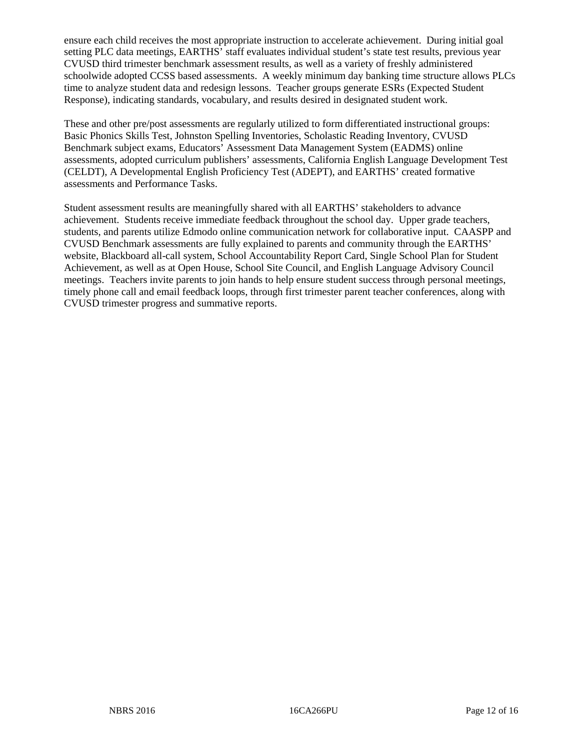ensure each child receives the most appropriate instruction to accelerate achievement. During initial goal setting PLC data meetings, EARTHS' staff evaluates individual student's state test results, previous year CVUSD third trimester benchmark assessment results, as well as a variety of freshly administered schoolwide adopted CCSS based assessments. A weekly minimum day banking time structure allows PLCs time to analyze student data and redesign lessons. Teacher groups generate ESRs (Expected Student Response), indicating standards, vocabulary, and results desired in designated student work.

These and other pre/post assessments are regularly utilized to form differentiated instructional groups: Basic Phonics Skills Test, Johnston Spelling Inventories, Scholastic Reading Inventory, CVUSD Benchmark subject exams, Educators' Assessment Data Management System (EADMS) online assessments, adopted curriculum publishers' assessments, California English Language Development Test (CELDT), A Developmental English Proficiency Test (ADEPT), and EARTHS' created formative assessments and Performance Tasks.

Student assessment results are meaningfully shared with all EARTHS' stakeholders to advance achievement. Students receive immediate feedback throughout the school day. Upper grade teachers, students, and parents utilize Edmodo online communication network for collaborative input. CAASPP and CVUSD Benchmark assessments are fully explained to parents and community through the EARTHS' website, Blackboard all-call system, School Accountability Report Card, Single School Plan for Student Achievement, as well as at Open House, School Site Council, and English Language Advisory Council meetings. Teachers invite parents to join hands to help ensure student success through personal meetings, timely phone call and email feedback loops, through first trimester parent teacher conferences, along with CVUSD trimester progress and summative reports.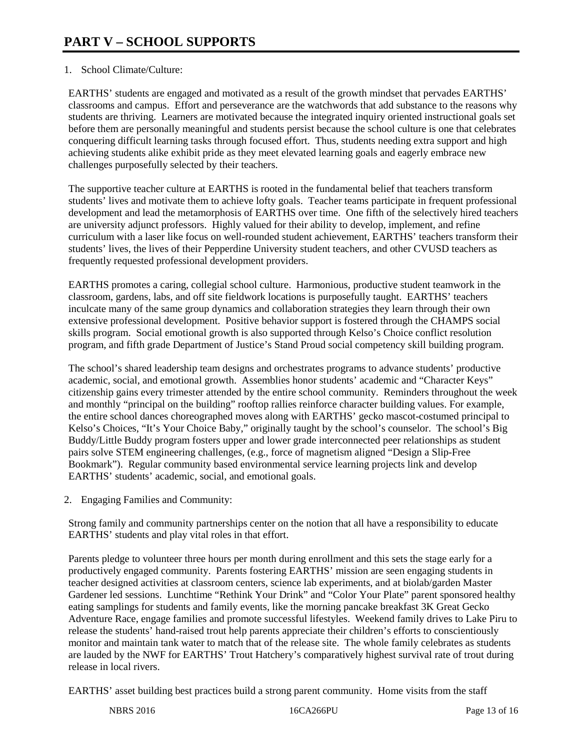# 1. School Climate/Culture:

EARTHS' students are engaged and motivated as a result of the growth mindset that pervades EARTHS' classrooms and campus. Effort and perseverance are the watchwords that add substance to the reasons why students are thriving. Learners are motivated because the integrated inquiry oriented instructional goals set before them are personally meaningful and students persist because the school culture is one that celebrates conquering difficult learning tasks through focused effort. Thus, students needing extra support and high achieving students alike exhibit pride as they meet elevated learning goals and eagerly embrace new challenges purposefully selected by their teachers.

The supportive teacher culture at EARTHS is rooted in the fundamental belief that teachers transform students' lives and motivate them to achieve lofty goals. Teacher teams participate in frequent professional development and lead the metamorphosis of EARTHS over time. One fifth of the selectively hired teachers are university adjunct professors. Highly valued for their ability to develop, implement, and refine curriculum with a laser like focus on well-rounded student achievement, EARTHS' teachers transform their students' lives, the lives of their Pepperdine University student teachers, and other CVUSD teachers as frequently requested professional development providers.

EARTHS promotes a caring, collegial school culture. Harmonious, productive student teamwork in the classroom, gardens, labs, and off site fieldwork locations is purposefully taught. EARTHS' teachers inculcate many of the same group dynamics and collaboration strategies they learn through their own extensive professional development. Positive behavior support is fostered through the CHAMPS social skills program. Social emotional growth is also supported through Kelso's Choice conflict resolution program, and fifth grade Department of Justice's Stand Proud social competency skill building program.

The school's shared leadership team designs and orchestrates programs to advance students' productive academic, social, and emotional growth. Assemblies honor students' academic and "Character Keys" citizenship gains every trimester attended by the entire school community. Reminders throughout the week and monthly "principal on the building" rooftop rallies reinforce character building values. For example, the entire school dances choreographed moves along with EARTHS' gecko mascot-costumed principal to Kelso's Choices, "It's Your Choice Baby," originally taught by the school's counselor. The school's Big Buddy/Little Buddy program fosters upper and lower grade interconnected peer relationships as student pairs solve STEM engineering challenges, (e.g., force of magnetism aligned "Design a Slip-Free Bookmark"). Regular community based environmental service learning projects link and develop EARTHS' students' academic, social, and emotional goals.

2. Engaging Families and Community:

Strong family and community partnerships center on the notion that all have a responsibility to educate EARTHS' students and play vital roles in that effort.

Parents pledge to volunteer three hours per month during enrollment and this sets the stage early for a productively engaged community. Parents fostering EARTHS' mission are seen engaging students in teacher designed activities at classroom centers, science lab experiments, and at biolab/garden Master Gardener led sessions. Lunchtime "Rethink Your Drink" and "Color Your Plate" parent sponsored healthy eating samplings for students and family events, like the morning pancake breakfast 3K Great Gecko Adventure Race, engage families and promote successful lifestyles. Weekend family drives to Lake Piru to release the students' hand-raised trout help parents appreciate their children's efforts to conscientiously monitor and maintain tank water to match that of the release site. The whole family celebrates as students are lauded by the NWF for EARTHS' Trout Hatchery's comparatively highest survival rate of trout during release in local rivers.

EARTHS' asset building best practices build a strong parent community. Home visits from the staff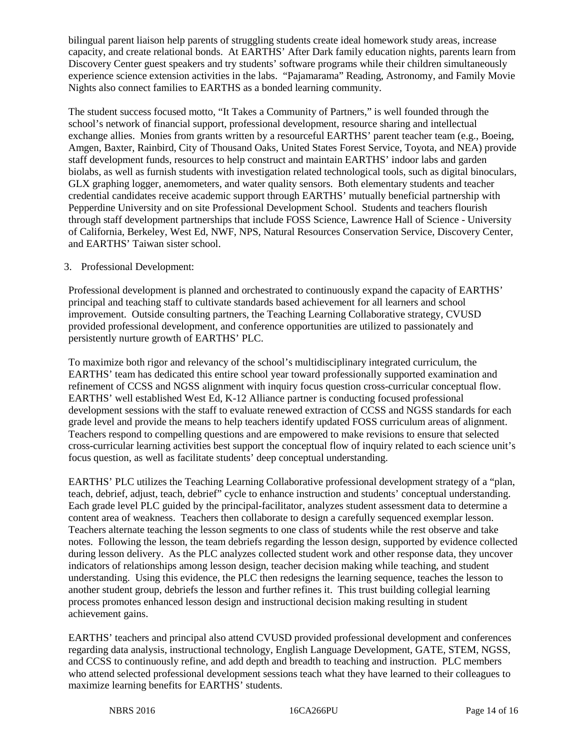bilingual parent liaison help parents of struggling students create ideal homework study areas, increase capacity, and create relational bonds. At EARTHS' After Dark family education nights, parents learn from Discovery Center guest speakers and try students' software programs while their children simultaneously experience science extension activities in the labs. "Pajamarama" Reading, Astronomy, and Family Movie Nights also connect families to EARTHS as a bonded learning community.

The student success focused motto, "It Takes a Community of Partners," is well founded through the school's network of financial support, professional development, resource sharing and intellectual exchange allies. Monies from grants written by a resourceful EARTHS' parent teacher team (e.g., Boeing, Amgen, Baxter, Rainbird, City of Thousand Oaks, United States Forest Service, Toyota, and NEA) provide staff development funds, resources to help construct and maintain EARTHS' indoor labs and garden biolabs, as well as furnish students with investigation related technological tools, such as digital binoculars, GLX graphing logger, anemometers, and water quality sensors. Both elementary students and teacher credential candidates receive academic support through EARTHS' mutually beneficial partnership with Pepperdine University and on site Professional Development School. Students and teachers flourish through staff development partnerships that include FOSS Science, Lawrence Hall of Science - University of California, Berkeley, West Ed, NWF, NPS, Natural Resources Conservation Service, Discovery Center, and EARTHS' Taiwan sister school.

# 3. Professional Development:

Professional development is planned and orchestrated to continuously expand the capacity of EARTHS' principal and teaching staff to cultivate standards based achievement for all learners and school improvement. Outside consulting partners, the Teaching Learning Collaborative strategy, CVUSD provided professional development, and conference opportunities are utilized to passionately and persistently nurture growth of EARTHS' PLC.

To maximize both rigor and relevancy of the school's multidisciplinary integrated curriculum, the EARTHS' team has dedicated this entire school year toward professionally supported examination and refinement of CCSS and NGSS alignment with inquiry focus question cross-curricular conceptual flow. EARTHS' well established West Ed, K-12 Alliance partner is conducting focused professional development sessions with the staff to evaluate renewed extraction of CCSS and NGSS standards for each grade level and provide the means to help teachers identify updated FOSS curriculum areas of alignment. Teachers respond to compelling questions and are empowered to make revisions to ensure that selected cross-curricular learning activities best support the conceptual flow of inquiry related to each science unit's focus question, as well as facilitate students' deep conceptual understanding.

EARTHS' PLC utilizes the Teaching Learning Collaborative professional development strategy of a "plan, teach, debrief, adjust, teach, debrief" cycle to enhance instruction and students' conceptual understanding. Each grade level PLC guided by the principal-facilitator, analyzes student assessment data to determine a content area of weakness. Teachers then collaborate to design a carefully sequenced exemplar lesson. Teachers alternate teaching the lesson segments to one class of students while the rest observe and take notes. Following the lesson, the team debriefs regarding the lesson design, supported by evidence collected during lesson delivery. As the PLC analyzes collected student work and other response data, they uncover indicators of relationships among lesson design, teacher decision making while teaching, and student understanding. Using this evidence, the PLC then redesigns the learning sequence, teaches the lesson to another student group, debriefs the lesson and further refines it. This trust building collegial learning process promotes enhanced lesson design and instructional decision making resulting in student achievement gains.

EARTHS' teachers and principal also attend CVUSD provided professional development and conferences regarding data analysis, instructional technology, English Language Development, GATE, STEM, NGSS, and CCSS to continuously refine, and add depth and breadth to teaching and instruction. PLC members who attend selected professional development sessions teach what they have learned to their colleagues to maximize learning benefits for EARTHS' students.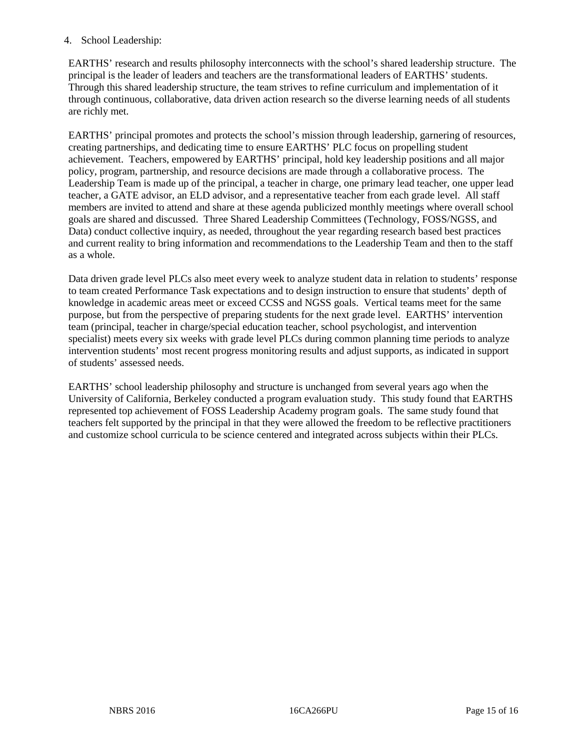# 4. School Leadership:

EARTHS' research and results philosophy interconnects with the school's shared leadership structure. The principal is the leader of leaders and teachers are the transformational leaders of EARTHS' students. Through this shared leadership structure, the team strives to refine curriculum and implementation of it through continuous, collaborative, data driven action research so the diverse learning needs of all students are richly met.

EARTHS' principal promotes and protects the school's mission through leadership, garnering of resources, creating partnerships, and dedicating time to ensure EARTHS' PLC focus on propelling student achievement. Teachers, empowered by EARTHS' principal, hold key leadership positions and all major policy, program, partnership, and resource decisions are made through a collaborative process. The Leadership Team is made up of the principal, a teacher in charge, one primary lead teacher, one upper lead teacher, a GATE advisor, an ELD advisor, and a representative teacher from each grade level. All staff members are invited to attend and share at these agenda publicized monthly meetings where overall school goals are shared and discussed. Three Shared Leadership Committees (Technology, FOSS/NGSS, and Data) conduct collective inquiry, as needed, throughout the year regarding research based best practices and current reality to bring information and recommendations to the Leadership Team and then to the staff as a whole.

Data driven grade level PLCs also meet every week to analyze student data in relation to students' response to team created Performance Task expectations and to design instruction to ensure that students' depth of knowledge in academic areas meet or exceed CCSS and NGSS goals. Vertical teams meet for the same purpose, but from the perspective of preparing students for the next grade level. EARTHS' intervention team (principal, teacher in charge/special education teacher, school psychologist, and intervention specialist) meets every six weeks with grade level PLCs during common planning time periods to analyze intervention students' most recent progress monitoring results and adjust supports, as indicated in support of students' assessed needs.

EARTHS' school leadership philosophy and structure is unchanged from several years ago when the University of California, Berkeley conducted a program evaluation study. This study found that EARTHS represented top achievement of FOSS Leadership Academy program goals. The same study found that teachers felt supported by the principal in that they were allowed the freedom to be reflective practitioners and customize school curricula to be science centered and integrated across subjects within their PLCs.